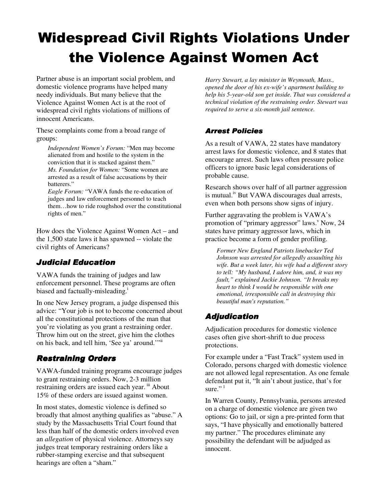# Widespread Civil Rights Violations Under the Violence Against Women Act

Partner abuse is an important social problem, and domestic violence programs have helped many needy individuals. But many believe that the Violence Against Women Act is at the root of widespread civil rights violations of millions of innocent Americans.

These complaints come from a broad range of groups:

*Independent Women's Forum:* "Men may become alienated from and hostile to the system in the conviction that it is stacked against them." *Ms. Foundation for Women:* "Some women are arrested as a result of false accusations by their batterers."

*Eagle Forum:* "VAWA funds the re-education of judges and law enforcement personnel to teach them…how to ride roughshod over the constitutional rights of men."

How does the Violence Against Women Act – and the 1,500 state laws it has spawned -- violate the civil rights of Americans?

# Judicial Education

VAWA funds the training of judges and law enforcement personnel. These programs are often biased and factually-misleading.<sup>i</sup>

In one New Jersey program, a judge dispensed this advice: "Your job is not to become concerned about all the constitutional protections of the man that you're violating as you grant a restraining order. Throw him out on the street, give him the clothes on his back, and tell him, 'See ya' around.'"ii

# **Restraining Orders**

VAWA-funded training programs encourage judges to grant restraining orders. Now, 2-3 million restraining orders are issued each year. iii About 15% of these orders are issued against women.

In most states, domestic violence is defined so broadly that almost anything qualifies as "abuse." A study by the Massachusetts Trial Court found that less than half of the domestic orders involved even an *allegation* of physical violence. Attorneys say judges treat temporary restraining orders like a rubber-stamping exercise and that subsequent hearings are often a "sham."

*Harry Stewart, a lay minister in Weymouth, Mass., opened the door of his ex-wife's apartment building to help his 5-year-old son get inside. That was considered a technical violation of the restraining order. Stewart was required to serve a six-month jail sentence.*

#### **Arrest Policies**

As a result of VAWA, 22 states have mandatory arrest laws for domestic violence, and 8 states that encourage arrest. Such laws often pressure police officers to ignore basic legal considerations of probable cause.

Research shows over half of all partner aggression is mutual.<sup>iv</sup> But VAWA discourages dual arrests, even when both persons show signs of injury.

Further aggravating the problem is VAWA's promotion of "primary aggressor" laws. Now, 24 states have primary aggressor laws, which in practice become a form of gender profiling.

*Former New England Patriots linebacker Ted Johnson was arrested for allegedly assaulting his wife. But a week later, his wife had a different story to tell: "My husband, I adore him, and, it was my fault," explained Jackie Johnson. "It breaks my heart to think I would be responsible with one emotional, irresponsible call in destroying this beautiful man's reputation."* 

# Adjudication

Adjudication procedures for domestic violence cases often give short-shrift to due process protections.

For example under a "Fast Track" system used in Colorado, persons charged with domestic violence are not allowed legal representation. As one female defendant put it, "It ain't about justice, that's for sure." $1$ 

In Warren County, Pennsylvania, persons arrested on a charge of domestic violence are given two options: Go to jail, or sign a pre-printed form that says, "I have physically and emotionally battered my partner." The procedures eliminate any possibility the defendant will be adjudged as innocent.